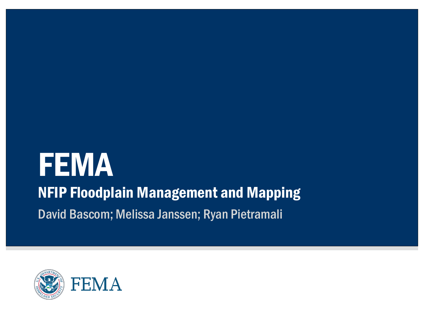# **FEMA** NFIP Floodplain Management and Mapping David Bascom; Melissa Janssen; Ryan Pietramali

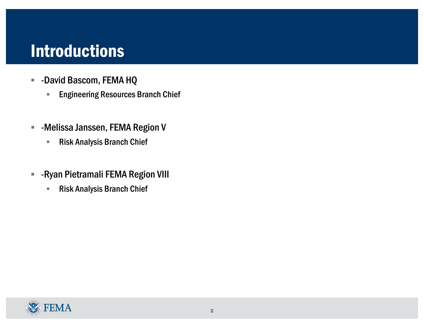#### **Introductions**

- § -David Bascom, FEMA HQ
	- **Engineering Resources Branch Chief**
- **E** -Melissa Janssen, FEMA Region V
	- Risk Analysis Branch Chief
- **E** -Ryan Pietramali FEMA Region VIII
	- Risk Analysis Branch Chief

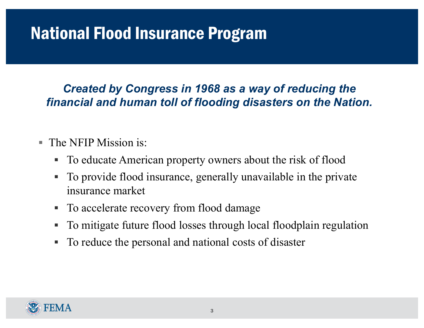# National Flood Insurance Program

*Created by Congress in 1968 as a way of reducing the financial and human toll of flooding disasters on the Nation.*

- The NFIP Mission is:
	- § To educate American property owners about the risk of flood
	- § To provide flood insurance, generally unavailable in the private insurance market
	- To accelerate recovery from flood damage
	- § To mitigate future flood losses through local floodplain regulation
	- To reduce the personal and national costs of disaster

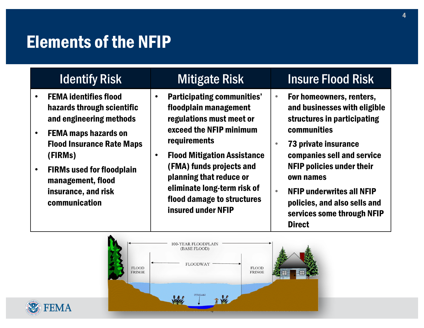#### Elements of the NFIP

|           | <b>Identify Risk</b>                                                                          | <b>Mitigate Risk</b>                                                                                                                                                                                                                                                                                                                  | <b>Insure Flood Risk</b>                                                                                                     |
|-----------|-----------------------------------------------------------------------------------------------|---------------------------------------------------------------------------------------------------------------------------------------------------------------------------------------------------------------------------------------------------------------------------------------------------------------------------------------|------------------------------------------------------------------------------------------------------------------------------|
| $\bullet$ | <b>FEMA identifies flood</b><br>hazards through scientific<br>and engineering methods         | <b>Participating communities'</b><br>floodplain management<br>regulations must meet or<br>exceed the NFIP minimum<br>requirements<br><b>Flood Mitigation Assistance</b><br>$\bullet$<br>(FMA) funds projects and<br>planning that reduce or<br>eliminate long-term risk of<br>flood damage to structures<br><b>insured under NFIP</b> | For homeowners, renters,<br>and businesses with eligible<br>structures in participating                                      |
| $\bullet$ | <b>FEMA maps hazards on</b><br><b>Flood Insurance Rate Maps</b><br>(FIRMs)                    |                                                                                                                                                                                                                                                                                                                                       | communities<br>73 private insurance<br>companies sell and service<br><b>NFIP policies under their</b>                        |
| $\bullet$ | <b>FIRMs used for floodplain</b><br>management, flood<br>insurance, and risk<br>communication |                                                                                                                                                                                                                                                                                                                                       | own names<br><b>NFIP underwrites all NFIP</b><br>policies, and also sells and<br>services some through NFIP<br><b>Direct</b> |



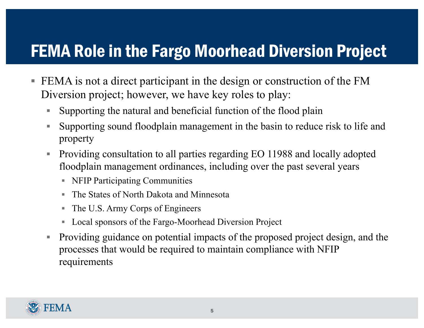### FEMA Role in the Fargo Moorhead Diversion Project

- FEMA is not a direct participant in the design or construction of the FM Diversion project; however, we have key roles to play:
	- § Supporting the natural and beneficial function of the flood plain
	- Supporting sound floodplain management in the basin to reduce risk to life and property
	- Providing consultation to all parties regarding EO 11988 and locally adopted floodplain management ordinances, including over the past several years
		- NFIP Participating Communities
		- § The States of North Dakota and Minnesota
		- The U.S. Army Corps of Engineers
		- Local sponsors of the Fargo-Moorhead Diversion Project
	- Providing guidance on potential impacts of the proposed project design, and the processes that would be required to maintain compliance with NFIP requirements

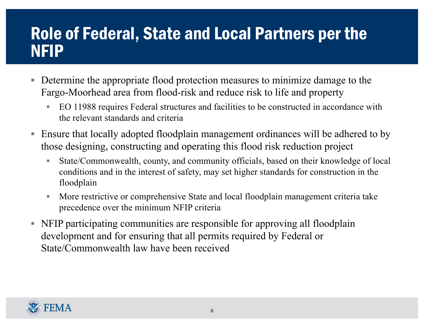#### Role of Federal, State and Local Partners per the NFIP

- Determine the appropriate flood protection measures to minimize damage to the Fargo-Moorhead area from flood-risk and reduce risk to life and property
	- EO 11988 requires Federal structures and facilities to be constructed in accordance with the relevant standards and criteria
- Ensure that locally adopted floodplain management ordinances will be adhered to by those designing, constructing and operating this flood risk reduction project
	- State/Commonwealth, county, and community officials, based on their knowledge of local conditions and in the interest of safety, may set higher standards for construction in the floodplain
	- More restrictive or comprehensive State and local floodplain management criteria take precedence over the minimum NFIP criteria
- § NFIP participating communities are responsible for approving all floodplain development and for ensuring that all permits required by Federal or State/Commonwealth law have been received

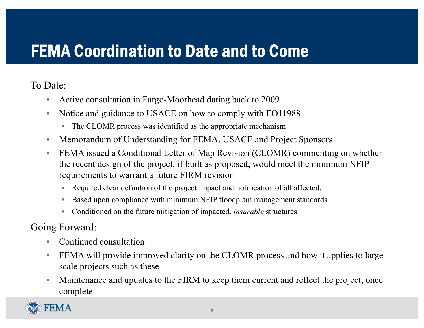### FEMA Coordination to Date and to Come

To Date:

- Active consultation in Fargo-Moorhead dating back to 2009
- § Notice and guidance to USACE on how to comply with EO11988
	- § The CLOMR process was identified as the appropriate mechanism
- Memorandum of Understanding for FEMA, USACE and Project Sponsors
- FEMA issued a Conditional Letter of Map Revision (CLOMR) commenting on whether the recent design of the project, if built as proposed, would meet the minimum NFIP requirements to warrant a future FIRM revision
	- Required clear definition of the project impact and notification of all affected.
	- Based upon compliance with minimum NFIP floodplain management standards
	- § Conditioned on the future mitigation of impacted, *insurable* structures

Going Forward:

- Continued consultation
- **EXA will provide improved clarity on the CLOMR process and how it applies to large** scale projects such as these
- Maintenance and updates to the FIRM to keep them current and reflect the project, once complete.

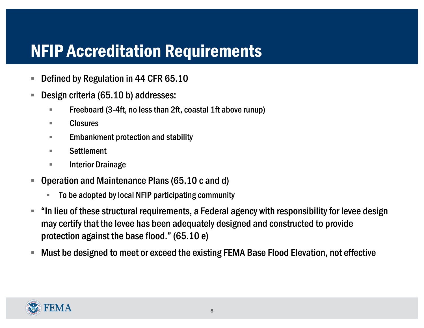#### NFIP Accreditation Requirements

- Defined by Regulation in 44 CFR 65.10
- Design criteria (65.10 b) addresses:
	- Freeboard (3-4ft, no less than 2ft, coastal 1ft above runup)
	- Closures
	- Embankment protection and stability
	- Settlement
	- Interior Drainage
- Operation and Maintenance Plans (65.10 c and d)
	- § To be adopted by local NFIP participating community
- "In lieu of these structural requirements, a Federal agency with responsibility for levee design may certify that the levee has been adequately designed and constructed to provide protection against the base flood." (65.10 e)
- Must be designed to meet or exceed the existing FEMA Base Flood Elevation, not effective

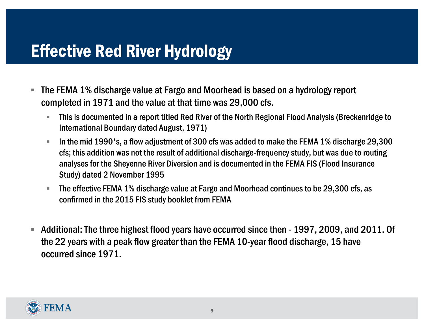## Effective Red River Hydrology

- The FEMA 1% discharge value at Fargo and Moorhead is based on a hydrology report completed in 1971 and the value at that time was 29,000 cfs.
	- § This is documented in a report titled Red River of the North Regional Flood Analysis (Breckenridge to International Boundary dated August, 1971)
	- § In the mid 1990's, a flow adjustment of 300 cfs was added to make the FEMA 1% discharge 29,300 cfs; this addition was not the result of additional discharge-frequency study, but was due to routing analyses for the Sheyenne River Diversion and is documented in the FEMA FIS (Flood Insurance Study) dated 2 November 1995
	- § The effective FEMA 1% discharge value at Fargo and Moorhead continues to be 29,300 cfs, as confirmed in the 2015 FIS study booklet from FEMA
- § Additional: The three highest flood years have occurred since then 1997, 2009, and 2011. Of the 22 years with a peak flow greater than the FEMA 10-year flood discharge, 15 have occurred since 1971.

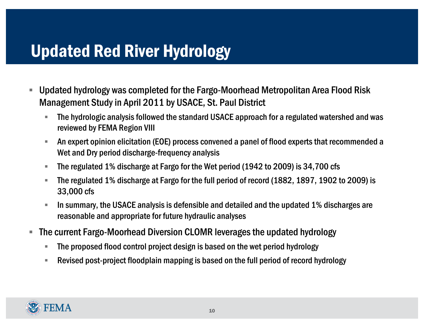### Updated Red River Hydrology

- Updated hydrology was completed for the Fargo-Moorhead Metropolitan Area Flood Risk Management Study in April 2011 by USACE, St. Paul District
	- The hydrologic analysis followed the standard USACE approach for a regulated watershed and was reviewed by FEMA Region VIII
	- § An expert opinion elicitation (EOE) process convened a panel of flood experts that recommended a Wet and Dry period discharge-frequency analysis
	- § The regulated 1% discharge at Fargo for the Wet period (1942 to 2009) is 34,700 cfs
	- § The regulated 1% discharge at Fargo for the full period of record (1882, 1897, 1902 to 2009) is 33,000 cfs
	- In summary, the USACE analysis is defensible and detailed and the updated 1% discharges are reasonable and appropriate for future hydraulic analyses
- The current Fargo-Moorhead Diversion CLOMR leverages the updated hydrology
	- § The proposed flood control project design is based on the wet period hydrology
	- § Revised post-project floodplain mapping is based on the full period of record hydrology

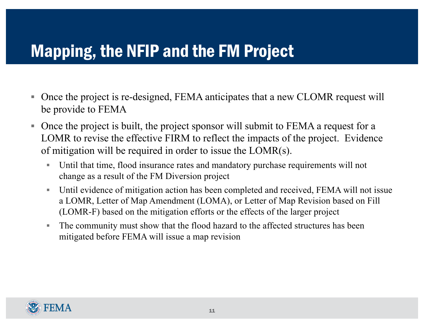#### Mapping, the NFIP and the FM Project

- Once the project is re-designed, FEMA anticipates that a new CLOMR request will be provide to FEMA
- Once the project is built, the project sponsor will submit to FEMA a request for a LOMR to revise the effective FIRM to reflect the impacts of the project. Evidence of mitigation will be required in order to issue the LOMR(s).
	- Until that time, flood insurance rates and mandatory purchase requirements will not change as a result of the FM Diversion project
	- Until evidence of mitigation action has been completed and received, FEMA will not issue a LOMR, Letter of Map Amendment (LOMA), or Letter of Map Revision based on Fill (LOMR-F) based on the mitigation efforts or the effects of the larger project
	- The community must show that the flood hazard to the affected structures has been mitigated before FEMA will issue a map revision